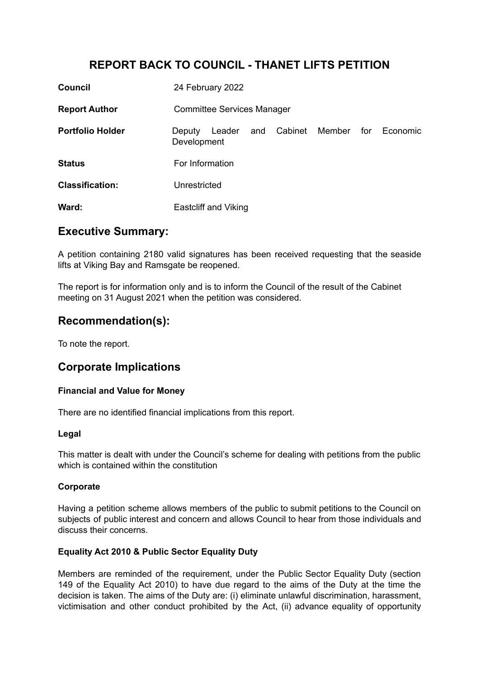# **REPORT BACK TO COUNCIL - THANET LIFTS PETITION**

| <b>Council</b>          | 24 February 2022                  |        |     |                |  |     |          |
|-------------------------|-----------------------------------|--------|-----|----------------|--|-----|----------|
| <b>Report Author</b>    | <b>Committee Services Manager</b> |        |     |                |  |     |          |
| <b>Portfolio Holder</b> | Deputy<br>Development             | Leader | and | Cabinet Member |  | for | Economic |
| <b>Status</b>           | For Information                   |        |     |                |  |     |          |
| <b>Classification:</b>  | Unrestricted                      |        |     |                |  |     |          |
| Ward:                   | <b>Eastcliff and Viking</b>       |        |     |                |  |     |          |

## **Executive Summary:**

A petition containing 2180 valid signatures has been received requesting that the seaside lifts at Viking Bay and Ramsgate be reopened.

The report is for information only and is to inform the Council of the result of the Cabinet meeting on 31 August 2021 when the petition was considered.

## **Recommendation(s):**

To note the report.

## **Corporate Implications**

### **Financial and Value for Money**

There are no identified financial implications from this report.

### **Legal**

This matter is dealt with under the Council's scheme for dealing with petitions from the public which is contained within the constitution

### **Corporate**

Having a petition scheme allows members of the public to submit petitions to the Council on subjects of public interest and concern and allows Council to hear from those individuals and discuss their concerns.

### **Equality Act 2010 & Public Sector Equality Duty**

Members are reminded of the requirement, under the Public Sector Equality Duty (section 149 of the Equality Act 2010) to have due regard to the aims of the Duty at the time the decision is taken. The aims of the Duty are: (i) eliminate unlawful discrimination, harassment, victimisation and other conduct prohibited by the Act, (ii) advance equality of opportunity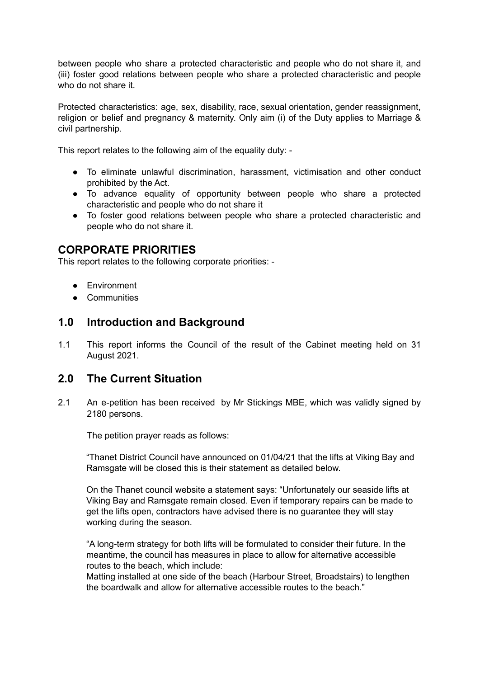between people who share a protected characteristic and people who do not share it, and (iii) foster good relations between people who share a protected characteristic and people who do not share it.

Protected characteristics: age, sex, disability, race, sexual orientation, gender reassignment, religion or belief and pregnancy & maternity. Only aim (i) of the Duty applies to Marriage & civil partnership.

This report relates to the following aim of the equality duty: -

- To eliminate unlawful discrimination, harassment, victimisation and other conduct prohibited by the Act.
- To advance equality of opportunity between people who share a protected characteristic and people who do not share it
- To foster good relations between people who share a protected characteristic and people who do not share it.

## **CORPORATE PRIORITIES**

This report relates to the following corporate priorities: -

- Environment
- Communities

## **1.0 Introduction and Background**

1.1 This report informs the Council of the result of the Cabinet meeting held on 31 August 2021.

## **2.0 The Current Situation**

2.1 An e-petition has been received by Mr Stickings MBE, which was validly signed by 2180 persons.

The petition prayer reads as follows:

"Thanet District Council have announced on 01/04/21 that the lifts at Viking Bay and Ramsgate will be closed this is their statement as detailed below.

On the Thanet council website a statement says: "Unfortunately our seaside lifts at Viking Bay and Ramsgate remain closed. Even if temporary repairs can be made to get the lifts open, contractors have advised there is no guarantee they will stay working during the season.

"A long-term strategy for both lifts will be formulated to consider their future. In the meantime, the council has measures in place to allow for alternative accessible routes to the beach, which include:

Matting installed at one side of the beach (Harbour Street, Broadstairs) to lengthen the boardwalk and allow for alternative accessible routes to the beach."